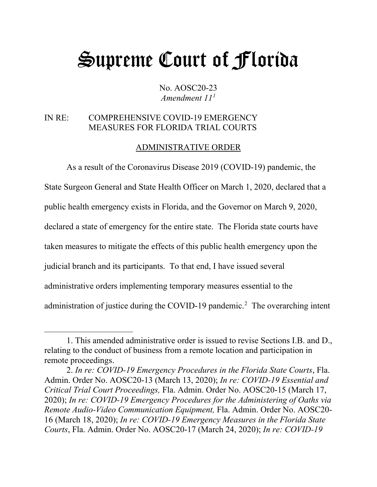# Supreme Court of Florida

No. AOSC20-23 *Amendment 11[1](#page-0-0)*

# IN RE: COMPREHENSIVE COVID-19 EMERGENCY MEASURES FOR FLORIDA TRIAL COURTS

## ADMINISTRATIVE ORDER

As a result of the Coronavirus Disease 2019 (COVID-19) pandemic, the State Surgeon General and State Health Officer on March 1, 2020, declared that a public health emergency exists in Florida, and the Governor on March 9, 2020, declared a state of emergency for the entire state. The Florida state courts have taken measures to mitigate the effects of this public health emergency upon the judicial branch and its participants. To that end, I have issued several administrative orders implementing temporary measures essential to the administration of justice during the COVID-19 pandemic.<sup>[2](#page-0-1)</sup> The overarching intent

<span id="page-0-0"></span><sup>1.</sup> This amended administrative order is issued to revise Sections I.B. and D., relating to the conduct of business from a remote location and participation in remote proceedings.

<span id="page-0-1"></span><sup>2.</sup> *In re: COVID-19 Emergency Procedures in the Florida State Courts*, Fla. Admin. Order No. AOSC20-13 (March 13, 2020); *In re: COVID-19 Essential and Critical Trial Court Proceedings,* Fla. Admin. Order No. AOSC20-15 (March 17, 2020); *In re: COVID-19 Emergency Procedures for the Administering of Oaths via Remote Audio-Video Communication Equipment,* Fla. Admin. Order No. AOSC20- 16 (March 18, 2020); *In re: COVID-19 Emergency Measures in the Florida State Courts*, Fla. Admin. Order No. AOSC20-17 (March 24, 2020); *In re: COVID-19*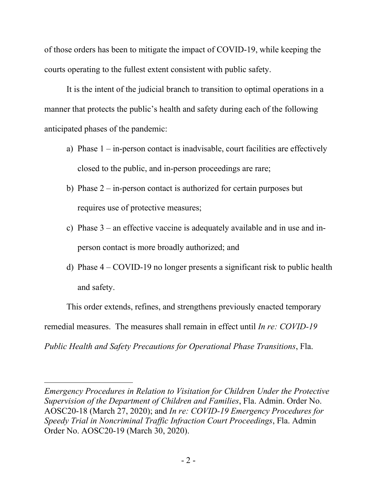of those orders has been to mitigate the impact of COVID-19, while keeping the courts operating to the fullest extent consistent with public safety.

It is the intent of the judicial branch to transition to optimal operations in a manner that protects the public's health and safety during each of the following anticipated phases of the pandemic:

- a) Phase  $1 in$ -person contact is inadvisable, court facilities are effectively closed to the public, and in-person proceedings are rare;
- b) Phase  $2 in$ -person contact is authorized for certain purposes but requires use of protective measures;
- c) Phase  $3$  an effective vaccine is adequately available and in use and inperson contact is more broadly authorized; and
- d) Phase 4 COVID-19 no longer presents a significant risk to public health and safety.

This order extends, refines, and strengthens previously enacted temporary remedial measures. The measures shall remain in effect until *In re: COVID-19 Public Health and Safety Precautions for Operational Phase Transitions*, Fla.

*Emergency Procedures in Relation to Visitation for Children Under the Protective Supervision of the Department of Children and Families*, Fla. Admin. Order No. AOSC20-18 (March 27, 2020); and *In re: COVID-19 Emergency Procedures for Speedy Trial in Noncriminal Traffic Infraction Court Proceedings*, Fla. Admin Order No. AOSC20-19 (March 30, 2020).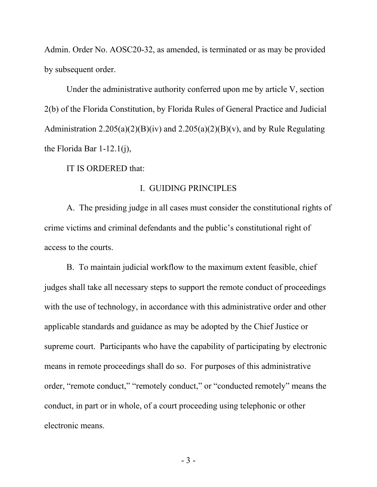Admin. Order No. AOSC20-32, as amended, is terminated or as may be provided by subsequent order.

Under the administrative authority conferred upon me by article V, section 2(b) of the Florida Constitution, by Florida Rules of General Practice and Judicial Administration  $2.205(a)(2)(B)(iv)$  and  $2.205(a)(2)(B)(v)$ , and by Rule Regulating the Florida Bar 1-12.1(j),

IT IS ORDERED that:

## I. GUIDING PRINCIPLES

A. The presiding judge in all cases must consider the constitutional rights of crime victims and criminal defendants and the public's constitutional right of access to the courts.

B. To maintain judicial workflow to the maximum extent feasible, chief judges shall take all necessary steps to support the remote conduct of proceedings with the use of technology, in accordance with this administrative order and other applicable standards and guidance as may be adopted by the Chief Justice or supreme court. Participants who have the capability of participating by electronic means in remote proceedings shall do so. For purposes of this administrative order, "remote conduct," "remotely conduct," or "conducted remotely" means the conduct, in part or in whole, of a court proceeding using telephonic or other electronic means.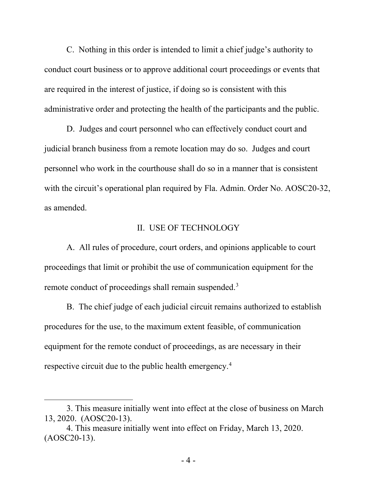C. Nothing in this order is intended to limit a chief judge's authority to conduct court business or to approve additional court proceedings or events that are required in the interest of justice, if doing so is consistent with this administrative order and protecting the health of the participants and the public.

D. Judges and court personnel who can effectively conduct court and judicial branch business from a remote location may do so. Judges and court personnel who work in the courthouse shall do so in a manner that is consistent with the circuit's operational plan required by Fla. Admin. Order No. AOSC20-32, as amended.

## II. USE OF TECHNOLOGY

A. All rules of procedure, court orders, and opinions applicable to court proceedings that limit or prohibit the use of communication equipment for the remote conduct of proceedings shall remain suspended.<sup>[3](#page-3-0)</sup>

B. The chief judge of each judicial circuit remains authorized to establish procedures for the use, to the maximum extent feasible, of communication equipment for the remote conduct of proceedings, as are necessary in their respective circuit due to the public health emergency.[4](#page-3-1)

<span id="page-3-0"></span><sup>3.</sup> This measure initially went into effect at the close of business on March 13, 2020. (AOSC20-13).

<span id="page-3-1"></span><sup>4.</sup> This measure initially went into effect on Friday, March 13, 2020. (AOSC20-13).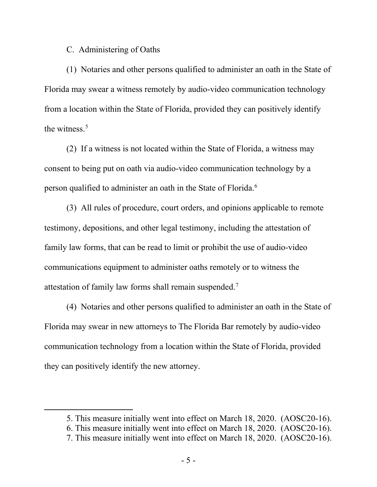## C. Administering of Oaths

(1) Notaries and other persons qualified to administer an oath in the State of Florida may swear a witness remotely by audio-video communication technology from a location within the State of Florida, provided they can positively identify the witness. [5](#page-4-0)

(2) If a witness is not located within the State of Florida, a witness may consent to being put on oath via audio-video communication technology by a person qualified to administer an oath in the State of Florida.<sup>[6](#page-4-1)</sup>

(3) All rules of procedure, court orders, and opinions applicable to remote testimony, depositions, and other legal testimony, including the attestation of family law forms, that can be read to limit or prohibit the use of audio-video communications equipment to administer oaths remotely or to witness the attestation of family law forms shall remain suspended.<sup>[7](#page-4-2)</sup>

(4) Notaries and other persons qualified to administer an oath in the State of Florida may swear in new attorneys to The Florida Bar remotely by audio-video communication technology from a location within the State of Florida, provided they can positively identify the new attorney.

<span id="page-4-0"></span><sup>5.</sup> This measure initially went into effect on March 18, 2020. (AOSC20-16).

<span id="page-4-1"></span><sup>6.</sup> This measure initially went into effect on March 18, 2020. (AOSC20-16).

<span id="page-4-2"></span><sup>7.</sup> This measure initially went into effect on March 18, 2020. (AOSC20-16).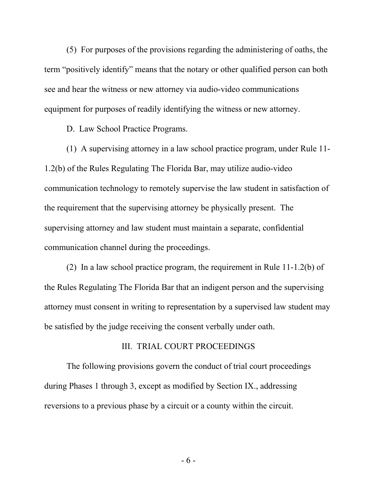(5) For purposes of the provisions regarding the administering of oaths, the term "positively identify" means that the notary or other qualified person can both see and hear the witness or new attorney via audio-video communications equipment for purposes of readily identifying the witness or new attorney.

D. Law School Practice Programs.

(1) A supervising attorney in a law school practice program, under Rule 11- 1.2(b) of the Rules Regulating The Florida Bar, may utilize audio-video communication technology to remotely supervise the law student in satisfaction of the requirement that the supervising attorney be physically present. The supervising attorney and law student must maintain a separate, confidential communication channel during the proceedings.

(2) In a law school practice program, the requirement in Rule 11-1.2(b) of the Rules Regulating The Florida Bar that an indigent person and the supervising attorney must consent in writing to representation by a supervised law student may be satisfied by the judge receiving the consent verbally under oath.

## III. TRIAL COURT PROCEEDINGS

The following provisions govern the conduct of trial court proceedings during Phases 1 through 3, except as modified by Section IX., addressing reversions to a previous phase by a circuit or a county within the circuit.

- 6 -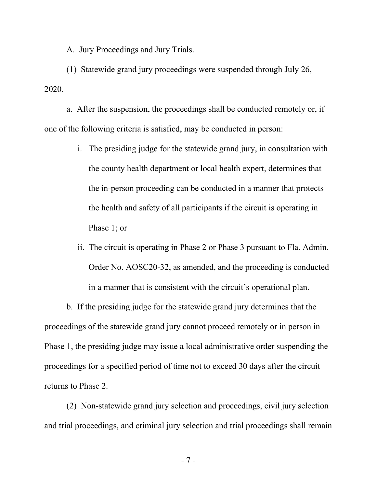A. Jury Proceedings and Jury Trials.

(1) Statewide grand jury proceedings were suspended through July 26, 2020.

a. After the suspension, the proceedings shall be conducted remotely or, if one of the following criteria is satisfied, may be conducted in person:

- i. The presiding judge for the statewide grand jury, in consultation with the county health department or local health expert, determines that the in-person proceeding can be conducted in a manner that protects the health and safety of all participants if the circuit is operating in Phase 1; or
- ii. The circuit is operating in Phase 2 or Phase 3 pursuant to Fla. Admin. Order No. AOSC20-32, as amended, and the proceeding is conducted in a manner that is consistent with the circuit's operational plan.

b. If the presiding judge for the statewide grand jury determines that the proceedings of the statewide grand jury cannot proceed remotely or in person in Phase 1, the presiding judge may issue a local administrative order suspending the proceedings for a specified period of time not to exceed 30 days after the circuit returns to Phase 2.

(2) Non-statewide grand jury selection and proceedings, civil jury selection and trial proceedings, and criminal jury selection and trial proceedings shall remain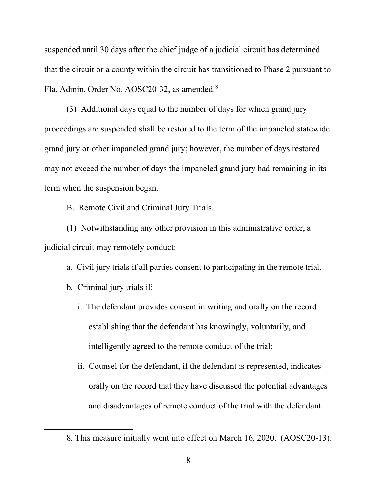suspended until 30 days after the chief judge of a judicial circuit has determined that the circuit or a county within the circuit has transitioned to Phase 2 pursuant to Fla. Admin. Order No. AOSC20-32, as amended.<sup>[8](#page-7-0)</sup>

(3) Additional days equal to the number of days for which grand jury proceedings are suspended shall be restored to the term of the impaneled statewide grand jury or other impaneled grand jury; however, the number of days restored may not exceed the number of days the impaneled grand jury had remaining in its term when the suspension began.

B. Remote Civil and Criminal Jury Trials.

(1) Notwithstanding any other provision in this administrative order, a judicial circuit may remotely conduct:

a. Civil jury trials if all parties consent to participating in the remote trial.

- b. Criminal jury trials if:
	- i. The defendant provides consent in writing and orally on the record establishing that the defendant has knowingly, voluntarily, and intelligently agreed to the remote conduct of the trial;
	- ii. Counsel for the defendant, if the defendant is represented, indicates orally on the record that they have discussed the potential advantages and disadvantages of remote conduct of the trial with the defendant

<span id="page-7-0"></span><sup>8.</sup> This measure initially went into effect on March 16, 2020. (AOSC20-13).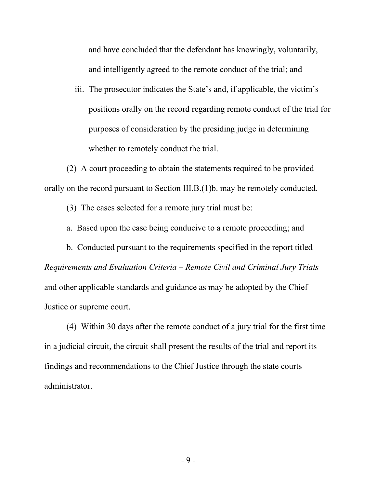and have concluded that the defendant has knowingly, voluntarily, and intelligently agreed to the remote conduct of the trial; and

iii. The prosecutor indicates the State's and, if applicable, the victim's positions orally on the record regarding remote conduct of the trial for purposes of consideration by the presiding judge in determining whether to remotely conduct the trial.

(2) A court proceeding to obtain the statements required to be provided orally on the record pursuant to Section III.B.(1)b. may be remotely conducted.

(3) The cases selected for a remote jury trial must be:

a. Based upon the case being conducive to a remote proceeding; and

b. Conducted pursuant to the requirements specified in the report titled *Requirements and Evaluation Criteria – Remote Civil and Criminal Jury Trials* and other applicable standards and guidance as may be adopted by the Chief Justice or supreme court.

(4) Within 30 days after the remote conduct of a jury trial for the first time in a judicial circuit, the circuit shall present the results of the trial and report its findings and recommendations to the Chief Justice through the state courts administrator.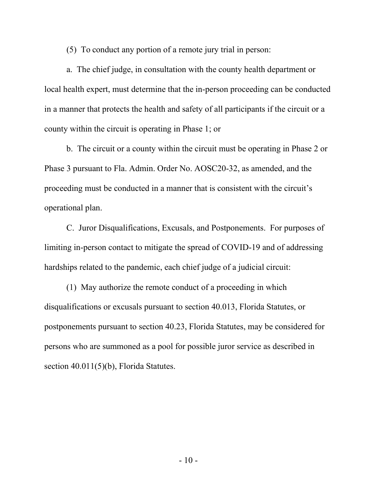(5) To conduct any portion of a remote jury trial in person:

a. The chief judge, in consultation with the county health department or local health expert, must determine that the in-person proceeding can be conducted in a manner that protects the health and safety of all participants if the circuit or a county within the circuit is operating in Phase 1; or

b. The circuit or a county within the circuit must be operating in Phase 2 or Phase 3 pursuant to Fla. Admin. Order No. AOSC20-32, as amended, and the proceeding must be conducted in a manner that is consistent with the circuit's operational plan.

C. Juror Disqualifications, Excusals, and Postponements. For purposes of limiting in-person contact to mitigate the spread of COVID-19 and of addressing hardships related to the pandemic, each chief judge of a judicial circuit:

(1) May authorize the remote conduct of a proceeding in which disqualifications or excusals pursuant to section 40.013, Florida Statutes, or postponements pursuant to section 40.23, Florida Statutes, may be considered for persons who are summoned as a pool for possible juror service as described in section 40.011(5)(b), Florida Statutes.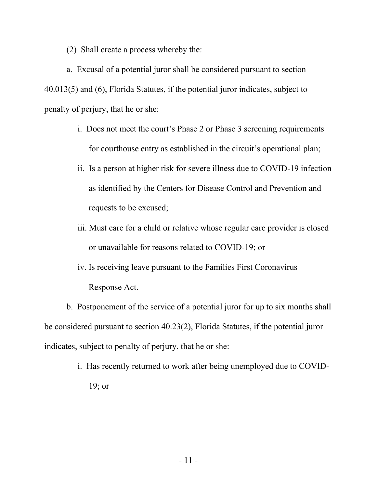(2) Shall create a process whereby the:

a. Excusal of a potential juror shall be considered pursuant to section 40.013(5) and (6), Florida Statutes, if the potential juror indicates, subject to penalty of perjury, that he or she:

- i. Does not meet the court's Phase 2 or Phase 3 screening requirements for courthouse entry as established in the circuit's operational plan;
- ii. Is a person at higher risk for severe illness due to COVID-19 infection as identified by the Centers for Disease Control and Prevention and requests to be excused;
- iii. Must care for a child or relative whose regular care provider is closed or unavailable for reasons related to COVID-19; or
- iv. Is receiving leave pursuant to the Families First Coronavirus Response Act.

b. Postponement of the service of a potential juror for up to six months shall be considered pursuant to section 40.23(2), Florida Statutes, if the potential juror indicates, subject to penalty of perjury, that he or she:

> i. Has recently returned to work after being unemployed due to COVID-19; or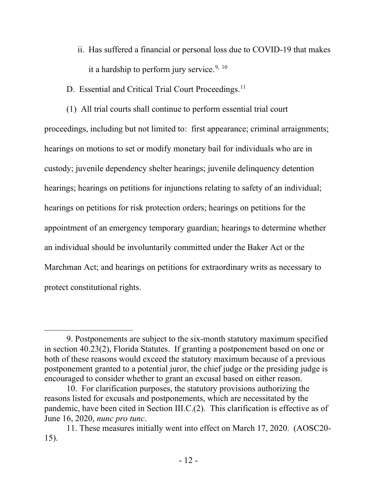- ii. Has suffered a financial or personal loss due to COVID-19 that makes it a hardship to perform jury service.<sup>[9](#page-11-0), [10](#page-11-1)</sup>
- D. Essential and Critical Trial Court Proceedings.<sup>11</sup>

(1) All trial courts shall continue to perform essential trial court proceedings, including but not limited to: first appearance; criminal arraignments; hearings on motions to set or modify monetary bail for individuals who are in custody; juvenile dependency shelter hearings; juvenile delinquency detention hearings; hearings on petitions for injunctions relating to safety of an individual; hearings on petitions for risk protection orders; hearings on petitions for the appointment of an emergency temporary guardian; hearings to determine whether an individual should be involuntarily committed under the Baker Act or the Marchman Act; and hearings on petitions for extraordinary writs as necessary to protect constitutional rights.

<span id="page-11-0"></span><sup>9.</sup> Postponements are subject to the six-month statutory maximum specified in section 40.23(2), Florida Statutes. If granting a postponement based on one or both of these reasons would exceed the statutory maximum because of a previous postponement granted to a potential juror, the chief judge or the presiding judge is encouraged to consider whether to grant an excusal based on either reason.

<span id="page-11-1"></span><sup>10.</sup> For clarification purposes, the statutory provisions authorizing the reasons listed for excusals and postponements, which are necessitated by the pandemic, have been cited in Section III.C.(2). This clarification is effective as of June 16, 2020, *nunc pro tunc*.

<span id="page-11-2"></span><sup>11.</sup> These measures initially went into effect on March 17, 2020. (AOSC20- 15).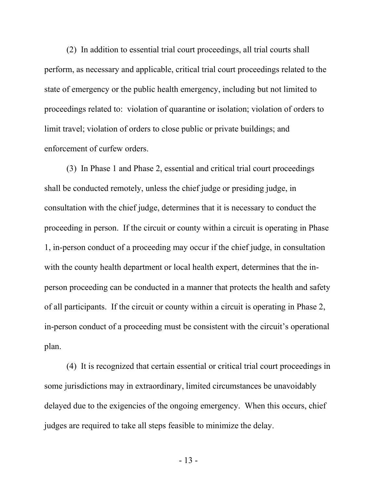(2) In addition to essential trial court proceedings, all trial courts shall perform, as necessary and applicable, critical trial court proceedings related to the state of emergency or the public health emergency, including but not limited to proceedings related to: violation of quarantine or isolation; violation of orders to limit travel; violation of orders to close public or private buildings; and enforcement of curfew orders.

(3) In Phase 1 and Phase 2, essential and critical trial court proceedings shall be conducted remotely, unless the chief judge or presiding judge, in consultation with the chief judge, determines that it is necessary to conduct the proceeding in person. If the circuit or county within a circuit is operating in Phase 1, in-person conduct of a proceeding may occur if the chief judge, in consultation with the county health department or local health expert, determines that the inperson proceeding can be conducted in a manner that protects the health and safety of all participants. If the circuit or county within a circuit is operating in Phase 2, in-person conduct of a proceeding must be consistent with the circuit's operational plan.

(4) It is recognized that certain essential or critical trial court proceedings in some jurisdictions may in extraordinary, limited circumstances be unavoidably delayed due to the exigencies of the ongoing emergency. When this occurs, chief judges are required to take all steps feasible to minimize the delay.

- 13 -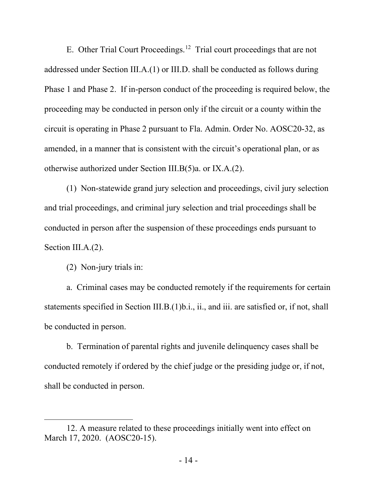E. Other Trial Court Proceedings.<sup>[12](#page-13-0)</sup> Trial court proceedings that are not addressed under Section III.A.(1) or III.D. shall be conducted as follows during Phase 1 and Phase 2. If in-person conduct of the proceeding is required below, the proceeding may be conducted in person only if the circuit or a county within the circuit is operating in Phase 2 pursuant to Fla. Admin. Order No. AOSC20-32, as amended, in a manner that is consistent with the circuit's operational plan, or as otherwise authorized under Section III.B(5)a. or IX.A.(2).

(1) Non-statewide grand jury selection and proceedings, civil jury selection and trial proceedings, and criminal jury selection and trial proceedings shall be conducted in person after the suspension of these proceedings ends pursuant to Section III.A.(2).

(2) Non-jury trials in:

a. Criminal cases may be conducted remotely if the requirements for certain statements specified in Section III.B.(1)b.i., ii., and iii. are satisfied or, if not, shall be conducted in person.

b. Termination of parental rights and juvenile delinquency cases shall be conducted remotely if ordered by the chief judge or the presiding judge or, if not, shall be conducted in person.

<span id="page-13-0"></span><sup>12.</sup> A measure related to these proceedings initially went into effect on March 17, 2020. (AOSC20-15).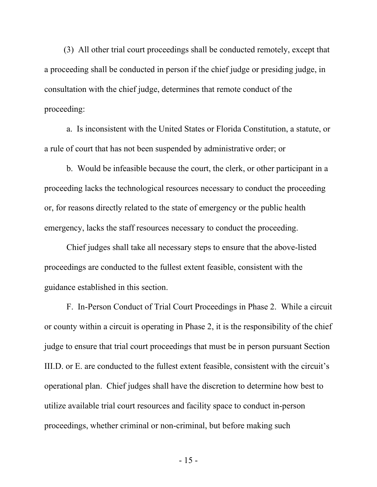(3) All other trial court proceedings shall be conducted remotely, except that a proceeding shall be conducted in person if the chief judge or presiding judge, in consultation with the chief judge, determines that remote conduct of the proceeding:

a. Is inconsistent with the United States or Florida Constitution, a statute, or a rule of court that has not been suspended by administrative order; or

b. Would be infeasible because the court, the clerk, or other participant in a proceeding lacks the technological resources necessary to conduct the proceeding or, for reasons directly related to the state of emergency or the public health emergency, lacks the staff resources necessary to conduct the proceeding.

Chief judges shall take all necessary steps to ensure that the above-listed proceedings are conducted to the fullest extent feasible, consistent with the guidance established in this section.

F. In-Person Conduct of Trial Court Proceedings in Phase 2. While a circuit or county within a circuit is operating in Phase 2, it is the responsibility of the chief judge to ensure that trial court proceedings that must be in person pursuant Section III.D. or E. are conducted to the fullest extent feasible, consistent with the circuit's operational plan. Chief judges shall have the discretion to determine how best to utilize available trial court resources and facility space to conduct in-person proceedings, whether criminal or non-criminal, but before making such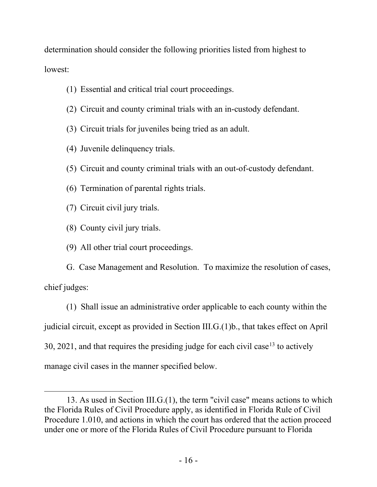determination should consider the following priorities listed from highest to lowest:

- (1) Essential and critical trial court proceedings.
- (2) Circuit and county criminal trials with an in-custody defendant.
- (3) Circuit trials for juveniles being tried as an adult.
- (4) Juvenile delinquency trials.
- (5) Circuit and county criminal trials with an out-of-custody defendant.
- (6) Termination of parental rights trials.
- (7) Circuit civil jury trials.
- (8) County civil jury trials.
- (9) All other trial court proceedings.

G. Case Management and Resolution. To maximize the resolution of cases, chief judges:

(1) Shall issue an administrative order applicable to each county within the judicial circuit, except as provided in Section III.G.(1)b., that takes effect on April 30, 2021, and that requires the presiding judge for each civil case<sup>[13](#page-15-0)</sup> to actively manage civil cases in the manner specified below.

<span id="page-15-0"></span><sup>13.</sup> As used in Section III.G.(1), the term "civil case" means actions to which the Florida Rules of Civil Procedure apply, as identified in Florida Rule of Civil Procedure 1.010, and actions in which the court has ordered that the action proceed under one or more of the Florida Rules of Civil Procedure pursuant to Florida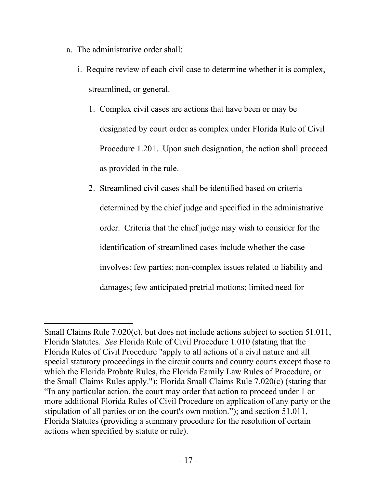- a. The administrative order shall:
	- i. Require review of each civil case to determine whether it is complex, streamlined, or general.
		- 1. Complex civil cases are actions that have been or may be designated by court order as complex under Florida Rule of Civil Procedure 1.201. Upon such designation, the action shall proceed as provided in the rule.
		- 2. Streamlined civil cases shall be identified based on criteria determined by the chief judge and specified in the administrative order. Criteria that the chief judge may wish to consider for the identification of streamlined cases include whether the case involves: few parties; non-complex issues related to liability and damages; few anticipated pretrial motions; limited need for

Small Claims Rule 7.020(c), but does not include actions subject to section 51.011, Florida Statutes. *See* Florida Rule of Civil Procedure 1.010 (stating that the Florida Rules of Civil Procedure "apply to all actions of a civil nature and all special statutory proceedings in the circuit courts and county courts except those to which the Florida Probate Rules, the Florida Family Law Rules of Procedure, or the Small Claims Rules apply."); Florida Small Claims Rule 7.020(c) (stating that "In any particular action, the court may order that action to proceed under 1 or more additional Florida Rules of Civil Procedure on application of any party or the stipulation of all parties or on the court's own motion."); and section 51.011, Florida Statutes (providing a summary procedure for the resolution of certain actions when specified by statute or rule).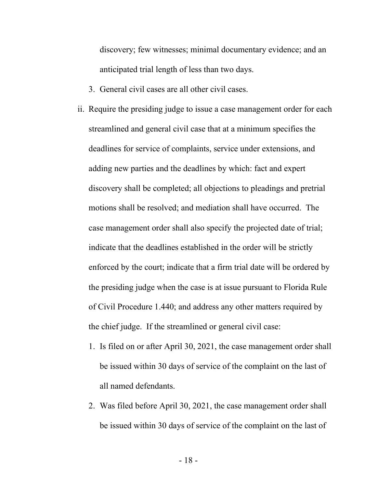discovery; few witnesses; minimal documentary evidence; and an anticipated trial length of less than two days.

- 3. General civil cases are all other civil cases.
- ii. Require the presiding judge to issue a case management order for each streamlined and general civil case that at a minimum specifies the deadlines for service of complaints, service under extensions, and adding new parties and the deadlines by which: fact and expert discovery shall be completed; all objections to pleadings and pretrial motions shall be resolved; and mediation shall have occurred. The case management order shall also specify the projected date of trial; indicate that the deadlines established in the order will be strictly enforced by the court; indicate that a firm trial date will be ordered by the presiding judge when the case is at issue pursuant to Florida Rule of Civil Procedure 1.440; and address any other matters required by the chief judge. If the streamlined or general civil case:
	- 1. Is filed on or after April 30, 2021, the case management order shall be issued within 30 days of service of the complaint on the last of all named defendants.
	- 2. Was filed before April 30, 2021, the case management order shall be issued within 30 days of service of the complaint on the last of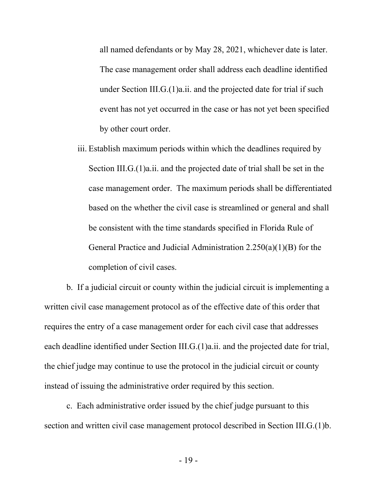all named defendants or by May 28, 2021, whichever date is later. The case management order shall address each deadline identified under Section III.G.(1)a.ii. and the projected date for trial if such event has not yet occurred in the case or has not yet been specified by other court order.

iii. Establish maximum periods within which the deadlines required by Section III.G.(1)a.ii. and the projected date of trial shall be set in the case management order. The maximum periods shall be differentiated based on the whether the civil case is streamlined or general and shall be consistent with the time standards specified in Florida Rule of General Practice and Judicial Administration 2.250(a)(1)(B) for the completion of civil cases.

b. If a judicial circuit or county within the judicial circuit is implementing a written civil case management protocol as of the effective date of this order that requires the entry of a case management order for each civil case that addresses each deadline identified under Section III.G.(1)a.ii. and the projected date for trial, the chief judge may continue to use the protocol in the judicial circuit or county instead of issuing the administrative order required by this section.

c. Each administrative order issued by the chief judge pursuant to this section and written civil case management protocol described in Section III.G.(1)b.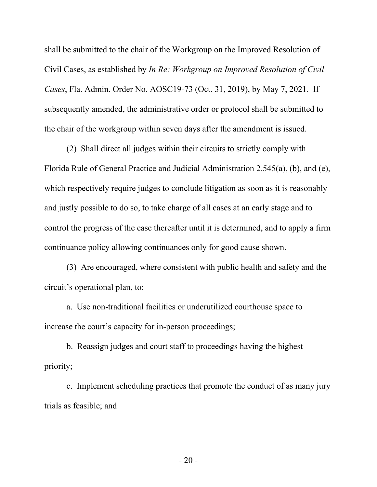shall be submitted to the chair of the Workgroup on the Improved Resolution of Civil Cases, as established by *In Re: Workgroup on Improved Resolution of Civil Cases*, Fla. Admin. Order No. AOSC19-73 (Oct. 31, 2019), by May 7, 2021. If subsequently amended, the administrative order or protocol shall be submitted to the chair of the workgroup within seven days after the amendment is issued.

(2) Shall direct all judges within their circuits to strictly comply with Florida Rule of General Practice and Judicial Administration 2.545(a), (b), and (e), which respectively require judges to conclude litigation as soon as it is reasonably and justly possible to do so, to take charge of all cases at an early stage and to control the progress of the case thereafter until it is determined, and to apply a firm continuance policy allowing continuances only for good cause shown.

(3) Are encouraged, where consistent with public health and safety and the circuit's operational plan, to:

a. Use non-traditional facilities or underutilized courthouse space to increase the court's capacity for in-person proceedings;

b. Reassign judges and court staff to proceedings having the highest priority;

c. Implement scheduling practices that promote the conduct of as many jury trials as feasible; and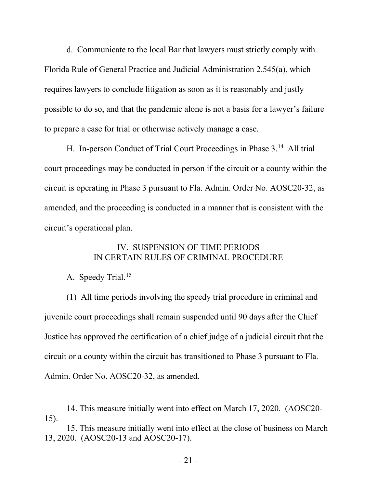d. Communicate to the local Bar that lawyers must strictly comply with Florida Rule of General Practice and Judicial Administration 2.545(a), which requires lawyers to conclude litigation as soon as it is reasonably and justly possible to do so, and that the pandemic alone is not a basis for a lawyer's failure to prepare a case for trial or otherwise actively manage a case.

H. In-person Conduct of Trial Court Proceedings in Phase 3.<sup>14</sup> All trial court proceedings may be conducted in person if the circuit or a county within the circuit is operating in Phase 3 pursuant to Fla. Admin. Order No. AOSC20-32, as amended, and the proceeding is conducted in a manner that is consistent with the circuit's operational plan.

## IV. SUSPENSION OF TIME PERIODS IN CERTAIN RULES OF CRIMINAL PROCEDURE

# A. Speedy Trial.<sup>[15](#page-20-1)</sup>

(1) All time periods involving the speedy trial procedure in criminal and juvenile court proceedings shall remain suspended until 90 days after the Chief Justice has approved the certification of a chief judge of a judicial circuit that the circuit or a county within the circuit has transitioned to Phase 3 pursuant to Fla. Admin. Order No. AOSC20-32, as amended.

<span id="page-20-0"></span><sup>14.</sup> This measure initially went into effect on March 17, 2020. (AOSC20- 15).

<span id="page-20-1"></span><sup>15.</sup> This measure initially went into effect at the close of business on March 13, 2020. (AOSC20-13 and AOSC20-17).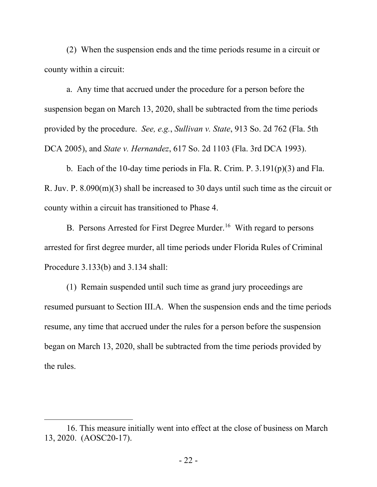(2) When the suspension ends and the time periods resume in a circuit or county within a circuit:

a. Any time that accrued under the procedure for a person before the suspension began on March 13, 2020, shall be subtracted from the time periods provided by the procedure. *See, e.g.*, *Sullivan v. State*, 913 So. 2d 762 (Fla. 5th DCA 2005), and *State v. Hernandez*, 617 So. 2d 1103 (Fla. 3rd DCA 1993).

b. Each of the 10-day time periods in Fla. R. Crim. P.  $3.191(p)(3)$  and Fla. R. Juv. P. 8.090(m)(3) shall be increased to 30 days until such time as the circuit or county within a circuit has transitioned to Phase 4.

B. Persons Arrested for First Degree Murder.<sup>16</sup> With regard to persons arrested for first degree murder, all time periods under Florida Rules of Criminal Procedure 3.133(b) and 3.134 shall:

(1) Remain suspended until such time as grand jury proceedings are resumed pursuant to Section III.A. When the suspension ends and the time periods resume, any time that accrued under the rules for a person before the suspension began on March 13, 2020, shall be subtracted from the time periods provided by the rules.

<span id="page-21-0"></span><sup>16.</sup> This measure initially went into effect at the close of business on March 13, 2020. (AOSC20-17).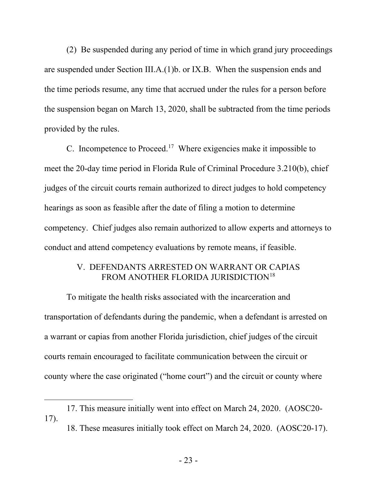(2) Be suspended during any period of time in which grand jury proceedings are suspended under Section III.A.(1)b. or IX.B. When the suspension ends and the time periods resume, any time that accrued under the rules for a person before the suspension began on March 13, 2020, shall be subtracted from the time periods provided by the rules.

C. Incompetence to Proceed[.17](#page-22-0) Where exigencies make it impossible to meet the 20-day time period in Florida Rule of Criminal Procedure 3.210(b), chief judges of the circuit courts remain authorized to direct judges to hold competency hearings as soon as feasible after the date of filing a motion to determine competency. Chief judges also remain authorized to allow experts and attorneys to conduct and attend competency evaluations by remote means, if feasible.

## V. DEFENDANTS ARRESTED ON WARRANT OR CAPIAS FROM ANOTHER FLORIDA JURISDICTION<sup>[18](#page-22-1)</sup>

To mitigate the health risks associated with the incarceration and transportation of defendants during the pandemic, when a defendant is arrested on a warrant or capias from another Florida jurisdiction, chief judges of the circuit courts remain encouraged to facilitate communication between the circuit or county where the case originated ("home court") and the circuit or county where

<span id="page-22-1"></span><span id="page-22-0"></span><sup>17.</sup> This measure initially went into effect on March 24, 2020. (AOSC20- 17).

<sup>18.</sup> These measures initially took effect on March 24, 2020. (AOSC20-17).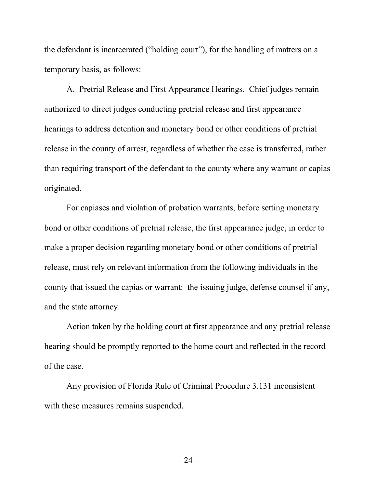the defendant is incarcerated ("holding court"), for the handling of matters on a temporary basis, as follows:

A. Pretrial Release and First Appearance Hearings. Chief judges remain authorized to direct judges conducting pretrial release and first appearance hearings to address detention and monetary bond or other conditions of pretrial release in the county of arrest, regardless of whether the case is transferred, rather than requiring transport of the defendant to the county where any warrant or capias originated.

For capiases and violation of probation warrants, before setting monetary bond or other conditions of pretrial release, the first appearance judge, in order to make a proper decision regarding monetary bond or other conditions of pretrial release, must rely on relevant information from the following individuals in the county that issued the capias or warrant: the issuing judge, defense counsel if any, and the state attorney.

Action taken by the holding court at first appearance and any pretrial release hearing should be promptly reported to the home court and reflected in the record of the case.

Any provision of Florida Rule of Criminal Procedure 3.131 inconsistent with these measures remains suspended.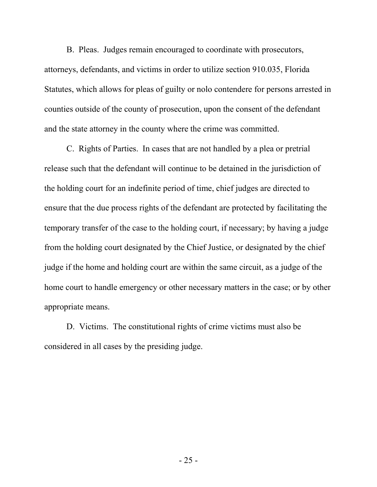B. Pleas. Judges remain encouraged to coordinate with prosecutors, attorneys, defendants, and victims in order to utilize section 910.035, Florida Statutes, which allows for pleas of guilty or nolo contendere for persons arrested in counties outside of the county of prosecution, upon the consent of the defendant and the state attorney in the county where the crime was committed.

C. Rights of Parties. In cases that are not handled by a plea or pretrial release such that the defendant will continue to be detained in the jurisdiction of the holding court for an indefinite period of time, chief judges are directed to ensure that the due process rights of the defendant are protected by facilitating the temporary transfer of the case to the holding court, if necessary; by having a judge from the holding court designated by the Chief Justice, or designated by the chief judge if the home and holding court are within the same circuit, as a judge of the home court to handle emergency or other necessary matters in the case; or by other appropriate means.

D. Victims. The constitutional rights of crime victims must also be considered in all cases by the presiding judge.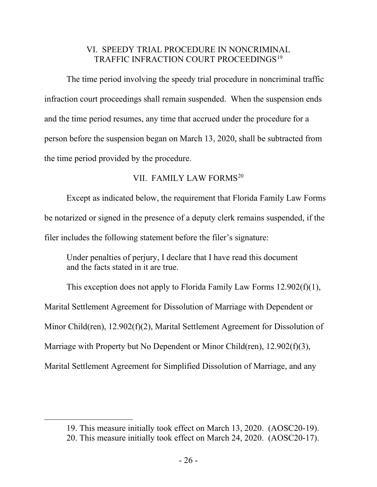# VI. SPEEDY TRIAL PROCEDURE IN NONCRIMINAL TRAFFIC INFRACTION COURT PROCEEDINGS<sup>[19](#page-25-0)</sup>

The time period involving the speedy trial procedure in noncriminal traffic infraction court proceedings shall remain suspended. When the suspension ends and the time period resumes, any time that accrued under the procedure for a person before the suspension began on March 13, 2020, shall be subtracted from the time period provided by the procedure.

## VII. FAMILY LAW FORMS<sup>[20](#page-25-1)</sup>

Except as indicated below, the requirement that Florida Family Law Forms be notarized or signed in the presence of a deputy clerk remains suspended, if the filer includes the following statement before the filer's signature:

Under penalties of perjury, I declare that I have read this document and the facts stated in it are true.

This exception does not apply to Florida Family Law Forms 12.902(f)(1), Marital Settlement Agreement for Dissolution of Marriage with Dependent or Minor Child(ren), 12.902(f)(2), Marital Settlement Agreement for Dissolution of Marriage with Property but No Dependent or Minor Child(ren), 12.902(f)(3), Marital Settlement Agreement for Simplified Dissolution of Marriage, and any

<span id="page-25-0"></span><sup>19.</sup> This measure initially took effect on March 13, 2020. (AOSC20-19).

<span id="page-25-1"></span><sup>20.</sup> This measure initially took effect on March 24, 2020. (AOSC20-17).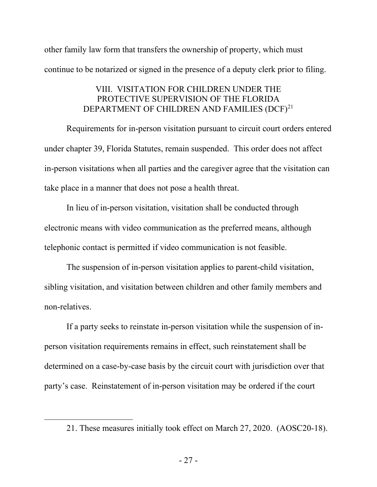other family law form that transfers the ownership of property, which must continue to be notarized or signed in the presence of a deputy clerk prior to filing.

# VIII. VISITATION FOR CHILDREN UNDER THE PROTECTIVE SUPERVISION OF THE FLORIDA DEPARTMENT OF CHILDREN AND FAMILIES (DCF)<sup>[21](#page-26-0)</sup>

Requirements for in-person visitation pursuant to circuit court orders entered under chapter 39, Florida Statutes, remain suspended. This order does not affect in-person visitations when all parties and the caregiver agree that the visitation can take place in a manner that does not pose a health threat.

In lieu of in-person visitation, visitation shall be conducted through electronic means with video communication as the preferred means, although telephonic contact is permitted if video communication is not feasible.

The suspension of in-person visitation applies to parent-child visitation, sibling visitation, and visitation between children and other family members and non-relatives.

If a party seeks to reinstate in-person visitation while the suspension of inperson visitation requirements remains in effect, such reinstatement shall be determined on a case-by-case basis by the circuit court with jurisdiction over that party's case. Reinstatement of in-person visitation may be ordered if the court

<span id="page-26-0"></span><sup>21.</sup> These measures initially took effect on March 27, 2020. (AOSC20-18).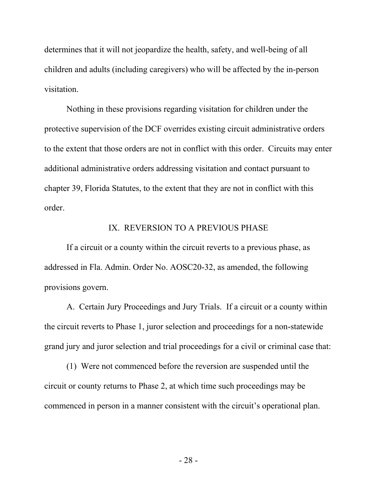determines that it will not jeopardize the health, safety, and well-being of all children and adults (including caregivers) who will be affected by the in-person visitation.

Nothing in these provisions regarding visitation for children under the protective supervision of the DCF overrides existing circuit administrative orders to the extent that those orders are not in conflict with this order. Circuits may enter additional administrative orders addressing visitation and contact pursuant to chapter 39, Florida Statutes, to the extent that they are not in conflict with this order.

#### IX. REVERSION TO A PREVIOUS PHASE

If a circuit or a county within the circuit reverts to a previous phase, as addressed in Fla. Admin. Order No. AOSC20-32, as amended, the following provisions govern.

A. Certain Jury Proceedings and Jury Trials. If a circuit or a county within the circuit reverts to Phase 1, juror selection and proceedings for a non-statewide grand jury and juror selection and trial proceedings for a civil or criminal case that:

(1) Were not commenced before the reversion are suspended until the circuit or county returns to Phase 2, at which time such proceedings may be commenced in person in a manner consistent with the circuit's operational plan.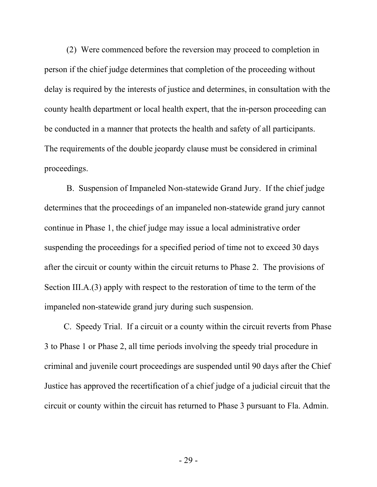(2) Were commenced before the reversion may proceed to completion in person if the chief judge determines that completion of the proceeding without delay is required by the interests of justice and determines, in consultation with the county health department or local health expert, that the in-person proceeding can be conducted in a manner that protects the health and safety of all participants. The requirements of the double jeopardy clause must be considered in criminal proceedings.

B. Suspension of Impaneled Non-statewide Grand Jury. If the chief judge determines that the proceedings of an impaneled non-statewide grand jury cannot continue in Phase 1, the chief judge may issue a local administrative order suspending the proceedings for a specified period of time not to exceed 30 days after the circuit or county within the circuit returns to Phase 2. The provisions of Section III.A.(3) apply with respect to the restoration of time to the term of the impaneled non-statewide grand jury during such suspension.

C. Speedy Trial. If a circuit or a county within the circuit reverts from Phase 3 to Phase 1 or Phase 2, all time periods involving the speedy trial procedure in criminal and juvenile court proceedings are suspended until 90 days after the Chief Justice has approved the recertification of a chief judge of a judicial circuit that the circuit or county within the circuit has returned to Phase 3 pursuant to Fla. Admin.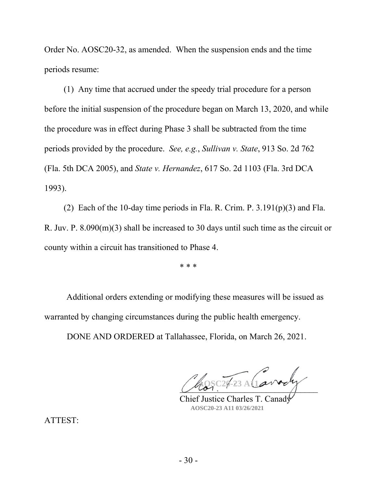Order No. AOSC20-32, as amended. When the suspension ends and the time periods resume:

(1) Any time that accrued under the speedy trial procedure for a person before the initial suspension of the procedure began on March 13, 2020, and while the procedure was in effect during Phase 3 shall be subtracted from the time periods provided by the procedure. *See, e.g.*, *Sullivan v. State*, 913 So. 2d 762 (Fla. 5th DCA 2005), and *State v. Hernandez*, 617 So. 2d 1103 (Fla. 3rd DCA 1993).

(2) Each of the 10-day time periods in Fla. R. Crim. P.  $3.191(p)(3)$  and Fla. R. Juv. P. 8.090(m)(3) shall be increased to 30 days until such time as the circuit or county within a circuit has transitioned to Phase 4.

\* \* \*

Additional orders extending or modifying these measures will be issued as warranted by changing circumstances during the public health emergency.

DONE AND ORDERED at Tallahassee, Florida, on March 26, 2021.

\_\_\_\_\_\_\_\_\_\_\_\_\_\_\_\_\_\_\_\_\_\_\_\_\_\_\_\_\_\_\_\_ **AOSC20-23 A11 03/26/2021** 

Chief Justice Charles T. Canad **AOSC20-23 A11 03/26/2021**

ATTEST: